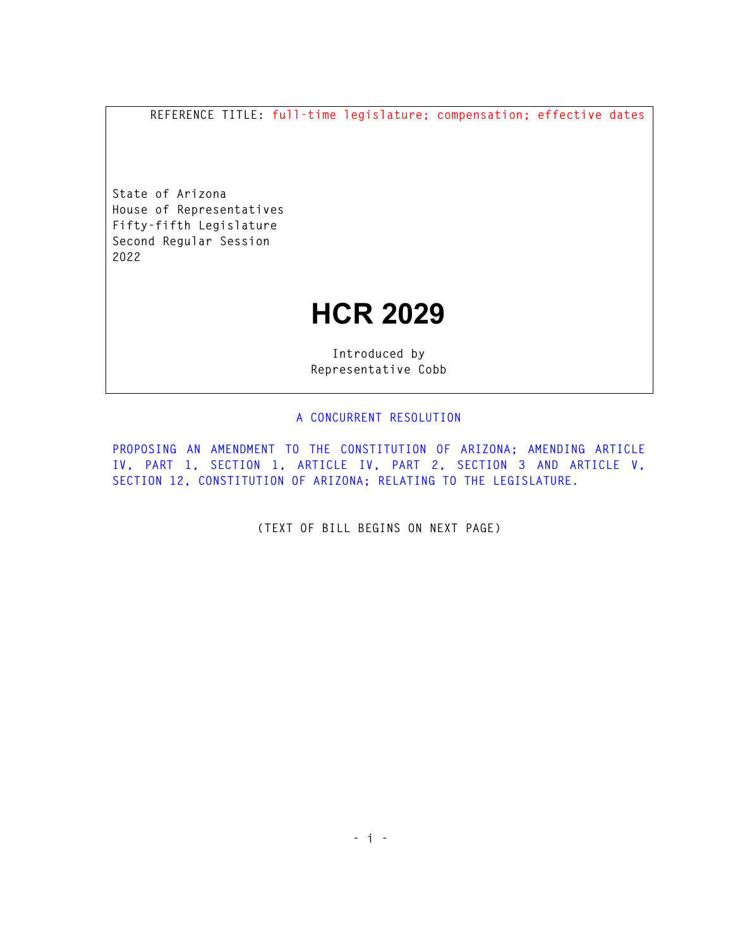**REFERENCE TITLE: full-time legislature; compensation; effective dates** 

**State of Arizona House of Representatives Fifty-fifth Legislature Second Regular Session 2022** 

## **HCR 2029**

**Introduced by Representative Cobb** 

## **A CONCURRENT RESOLUTION**

**PROPOSING AN AMENDMENT TO THE CONSTITUTION OF ARIZONA; AMENDING ARTICLE IV, PART 1, SECTION 1, ARTICLE IV, PART 2, SECTION 3 AND ARTICLE V, SECTION 12, CONSTITUTION OF ARIZONA; RELATING TO THE LEGISLATURE.** 

**(TEXT OF BILL BEGINS ON NEXT PAGE)**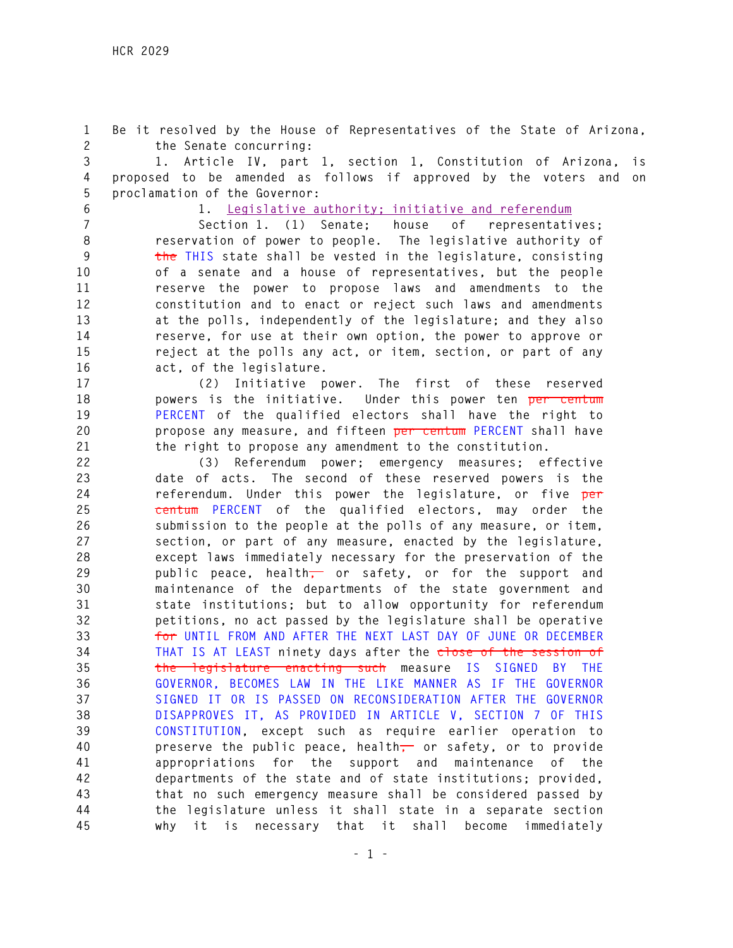**1 Be it resolved by the House of Representatives of the State of Arizona, 2 the Senate concurring:** 

**3 1. Article IV, part 1, section 1, Constitution of Arizona, is 4 proposed to be amended as follows if approved by the voters and on 5 proclamation of the Governor:** 

**6 1. Legislative authority; initiative and referendum** 

**7 Section 1. (1) Senate; house of representatives; 8 reservation of power to people. The legislative authority of 9 the THIS state shall be vested in the legislature, consisting 10 of a senate and a house of representatives, but the people 11 reserve the power to propose laws and amendments to the 12 constitution and to enact or reject such laws and amendments 13 at the polls, independently of the legislature; and they also 14 reserve, for use at their own option, the power to approve or 15 reject at the polls any act, or item, section, or part of any 16 act, of the legislature.** 

**17 (2) Initiative power. The first of these reserved 18 powers is the initiative. Under this power ten per centum 19 PERCENT of the qualified electors shall have the right to 20 propose any measure, and fifteen per centum PERCENT shall have 21 the right to propose any amendment to the constitution.** 

**22 (3) Referendum power; emergency measures; effective 23 date of acts. The second of these reserved powers is the 24 referendum. Under this power the legislature, or five per 25 centum PERCENT of the qualified electors, may order the 26 submission to the people at the polls of any measure, or item, 27 section, or part of any measure, enacted by the legislature, 28 except laws immediately necessary for the preservation of the**  29 **public peace, health**, or safety, or for the support and **30 maintenance of the departments of the state government and 31 state institutions; but to allow opportunity for referendum 32 petitions, no act passed by the legislature shall be operative 33 for UNTIL FROM AND AFTER THE NEXT LAST DAY OF JUNE OR DECEMBER 34 THAT IS AT LEAST ninety days after the close of the session of 35 the legislature enacting such measure IS SIGNED BY THE 36 GOVERNOR, BECOMES LAW IN THE LIKE MANNER AS IF THE GOVERNOR 37 SIGNED IT OR IS PASSED ON RECONSIDERATION AFTER THE GOVERNOR 38 DISAPPROVES IT, AS PROVIDED IN ARTICLE V, SECTION 7 OF THIS 39 CONSTITUTION, except such as require earlier operation to 40 preserve the public peace, health, or safety, or to provide 41 appropriations for the support and maintenance of the 42 departments of the state and of state institutions; provided, 43 that no such emergency measure shall be considered passed by 44 the legislature unless it shall state in a separate section 45 why it is necessary that it shall become immediately**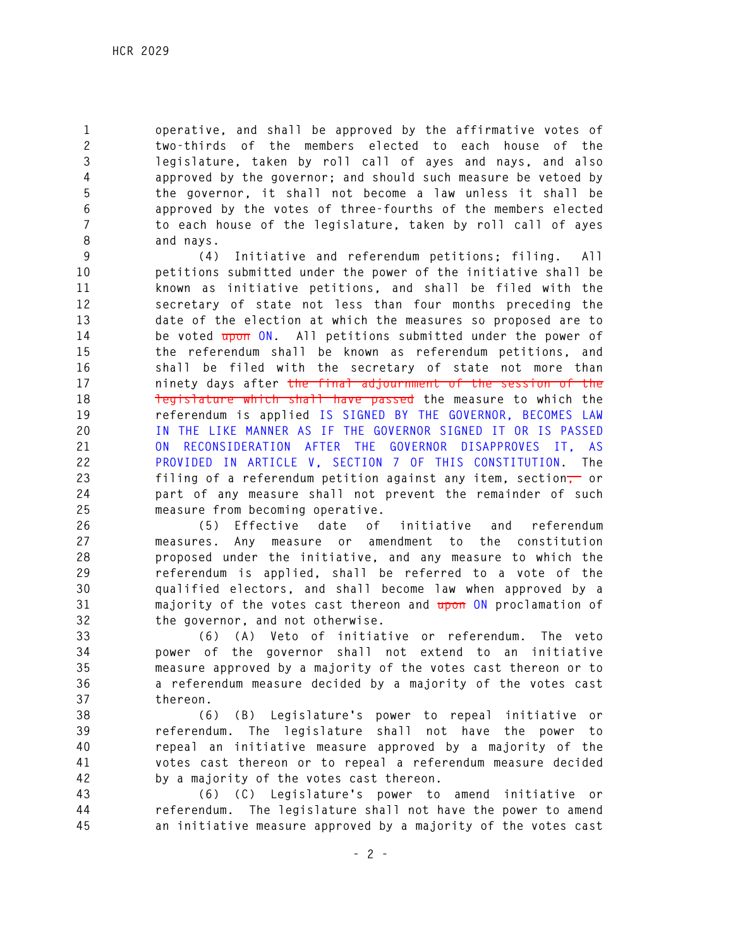**1 operative, and shall be approved by the affirmative votes of 2 two-thirds of the members elected to each house of the 3 legislature, taken by roll call of ayes and nays, and also 4 approved by the governor; and should such measure be vetoed by 5 the governor, it shall not become a law unless it shall be 6 approved by the votes of three-fourths of the members elected 7 to each house of the legislature, taken by roll call of ayes 8 and nays.** 

**9 (4) Initiative and referendum petitions; filing. All 10 petitions submitted under the power of the initiative shall be 11 known as initiative petitions, and shall be filed with the 12 secretary of state not less than four months preceding the 13 date of the election at which the measures so proposed are to 14 be voted upon ON. All petitions submitted under the power of 15 the referendum shall be known as referendum petitions, and 16 shall be filed with the secretary of state not more than 17 ninety days after the final adjournment of the session of the 18 legislature which shall have passed the measure to which the 19 referendum is applied IS SIGNED BY THE GOVERNOR, BECOMES LAW 20 IN THE LIKE MANNER AS IF THE GOVERNOR SIGNED IT OR IS PASSED 21 ON RECONSIDERATION AFTER THE GOVERNOR DISAPPROVES IT, AS 22 PROVIDED IN ARTICLE V, SECTION 7 OF THIS CONSTITUTION. The**  23 filing of a referendum petition against any item, section<del>,</del> or **24 part of any measure shall not prevent the remainder of such 25 measure from becoming operative.** 

**26 (5) Effective date of initiative and referendum 27 measures. Any measure or amendment to the constitution 28 proposed under the initiative, and any measure to which the 29 referendum is applied, shall be referred to a vote of the 30 qualified electors, and shall become law when approved by a 31 majority of the votes cast thereon and upon ON proclamation of 32 the governor, and not otherwise.** 

**33 (6) (A) Veto of initiative or referendum. The veto 34 power of the governor shall not extend to an initiative 35 measure approved by a majority of the votes cast thereon or to 36 a referendum measure decided by a majority of the votes cast 37 thereon.** 

**38 (6) (B) Legislature's power to repeal initiative or 39 referendum. The legislature shall not have the power to 40 repeal an initiative measure approved by a majority of the 41 votes cast thereon or to repeal a referendum measure decided 42 by a majority of the votes cast thereon.** 

**43 (6) (C) Legislature's power to amend initiative or 44 referendum. The legislature shall not have the power to amend 45 an initiative measure approved by a majority of the votes cast**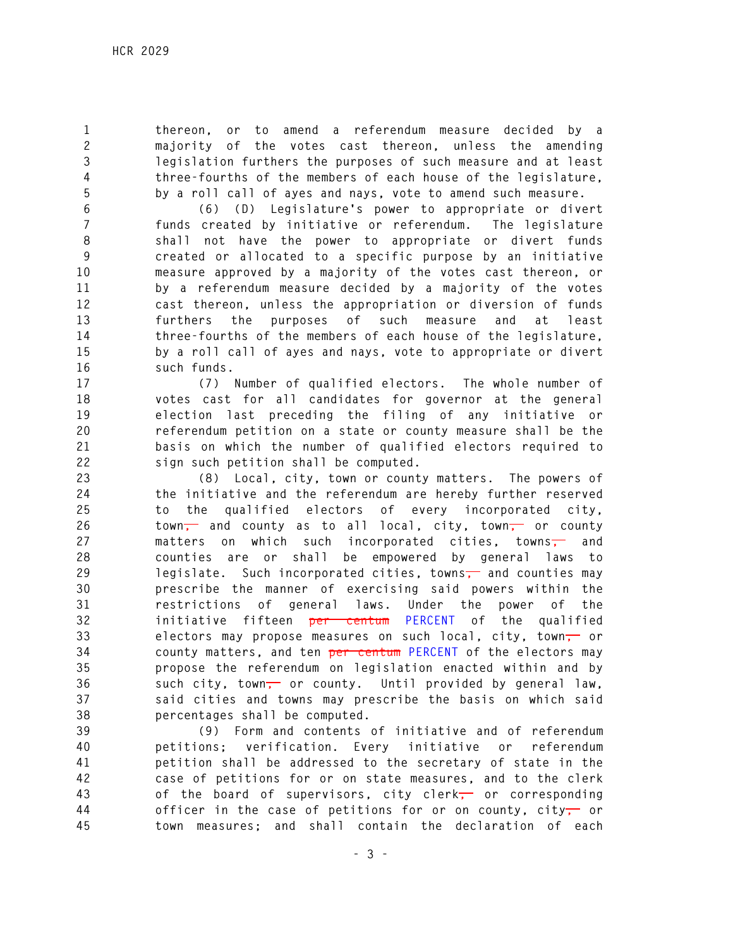**1 thereon, or to amend a referendum measure decided by a 2 majority of the votes cast thereon, unless the amending 3 legislation furthers the purposes of such measure and at least 4 three-fourths of the members of each house of the legislature, 5 by a roll call of ayes and nays, vote to amend such measure.** 

**6 (6) (D) Legislature's power to appropriate or divert 7 funds created by initiative or referendum. The legislature 8 shall not have the power to appropriate or divert funds 9 created or allocated to a specific purpose by an initiative 10 measure approved by a majority of the votes cast thereon, or 11 by a referendum measure decided by a majority of the votes 12 cast thereon, unless the appropriation or diversion of funds 13 furthers the purposes of such measure and at least 14 three-fourths of the members of each house of the legislature, 15 by a roll call of ayes and nays, vote to appropriate or divert 16 such funds.** 

**17 (7) Number of qualified electors. The whole number of 18 votes cast for all candidates for governor at the general 19 election last preceding the filing of any initiative or 20 referendum petition on a state or county measure shall be the 21 basis on which the number of qualified electors required to 22 sign such petition shall be computed.** 

**23 (8) Local, city, town or county matters. The powers of 24 the initiative and the referendum are hereby further reserved 25 to the qualified electors of every incorporated city,**  26 town<del>,</del> and county as to all local, city, town<del>,</del> or county **27 matters on which such incorporated cities, towns, and 28 counties are or shall be empowered by general laws to 29 legislate. Such incorporated cities, towns, and counties may 30 prescribe the manner of exercising said powers within the 31 restrictions of general laws. Under the power of the 32 initiative fifteen per centum PERCENT of the qualified 33 electors may propose measures on such local, city, town, or 34 county matters, and ten per centum PERCENT of the electors may 35 propose the referendum on legislation enacted within and by 36 such city, town, or county. Until provided by general law, 37 said cities and towns may prescribe the basis on which said 38 percentages shall be computed.** 

**39 (9) Form and contents of initiative and of referendum 40 petitions; verification. Every initiative or referendum 41 petition shall be addressed to the secretary of state in the 42 case of petitions for or on state measures, and to the clerk 43 of the board of supervisors, city clerk, or corresponding**  44 officer in the case of petitions for or on county, city<del>,</del> or **45 town measures; and shall contain the declaration of each**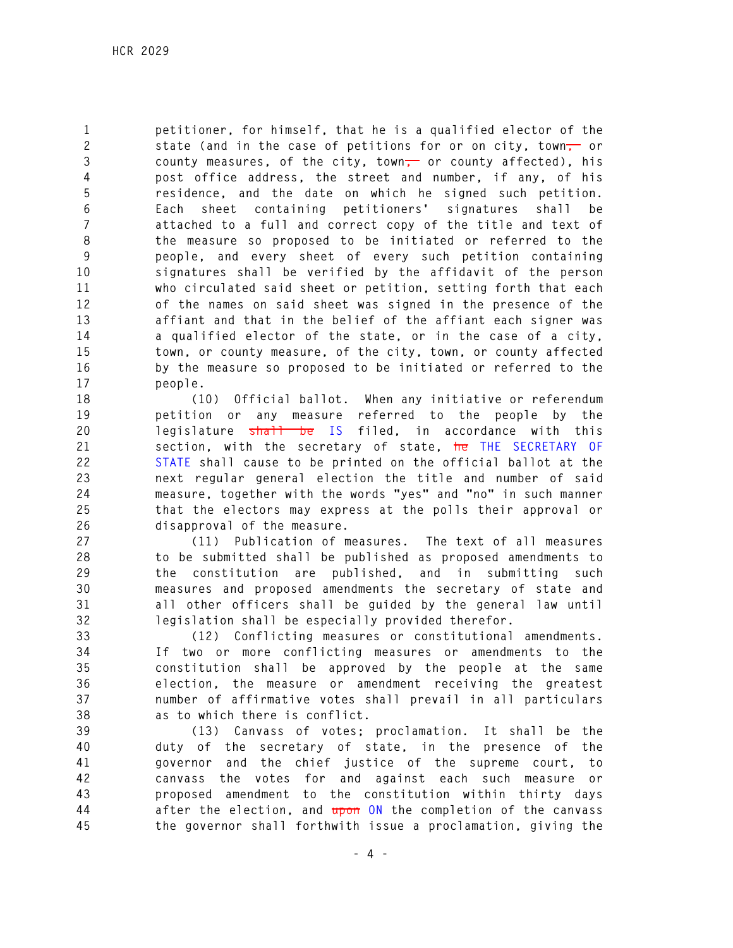**1 petitioner, for himself, that he is a qualified elector of the**  2 state (and in the case of petitions for or on city, town<del>,</del> or **3 county measures, of the city, town, or county affected), his 4 post office address, the street and number, if any, of his 5 residence, and the date on which he signed such petition. 6 Each sheet containing petitioners' signatures shall be 7 attached to a full and correct copy of the title and text of 8 the measure so proposed to be initiated or referred to the 9 people, and every sheet of every such petition containing 10 signatures shall be verified by the affidavit of the person 11 who circulated said sheet or petition, setting forth that each 12 of the names on said sheet was signed in the presence of the 13 affiant and that in the belief of the affiant each signer was 14 a qualified elector of the state, or in the case of a city, 15 town, or county measure, of the city, town, or county affected 16 by the measure so proposed to be initiated or referred to the 17 people.** 

**18 (10) Official ballot. When any initiative or referendum 19 petition or any measure referred to the people by the 20 legislature shall be IS filed, in accordance with this 21 section, with the secretary of state, he THE SECRETARY OF 22 STATE shall cause to be printed on the official ballot at the 23 next regular general election the title and number of said 24 measure, together with the words "yes" and "no" in such manner 25 that the electors may express at the polls their approval or 26 disapproval of the measure.** 

**27 (11) Publication of measures. The text of all measures 28 to be submitted shall be published as proposed amendments to 29 the constitution are published, and in submitting such 30 measures and proposed amendments the secretary of state and 31 all other officers shall be guided by the general law until 32 legislation shall be especially provided therefor.** 

**33 (12) Conflicting measures or constitutional amendments. 34 If two or more conflicting measures or amendments to the 35 constitution shall be approved by the people at the same 36 election, the measure or amendment receiving the greatest 37 number of affirmative votes shall prevail in all particulars 38 as to which there is conflict.** 

**39 (13) Canvass of votes; proclamation. It shall be the 40 duty of the secretary of state, in the presence of the 41 governor and the chief justice of the supreme court, to 42 canvass the votes for and against each such measure or 43 proposed amendment to the constitution within thirty days 44 after the election, and upon ON the completion of the canvass 45 the governor shall forthwith issue a proclamation, giving the**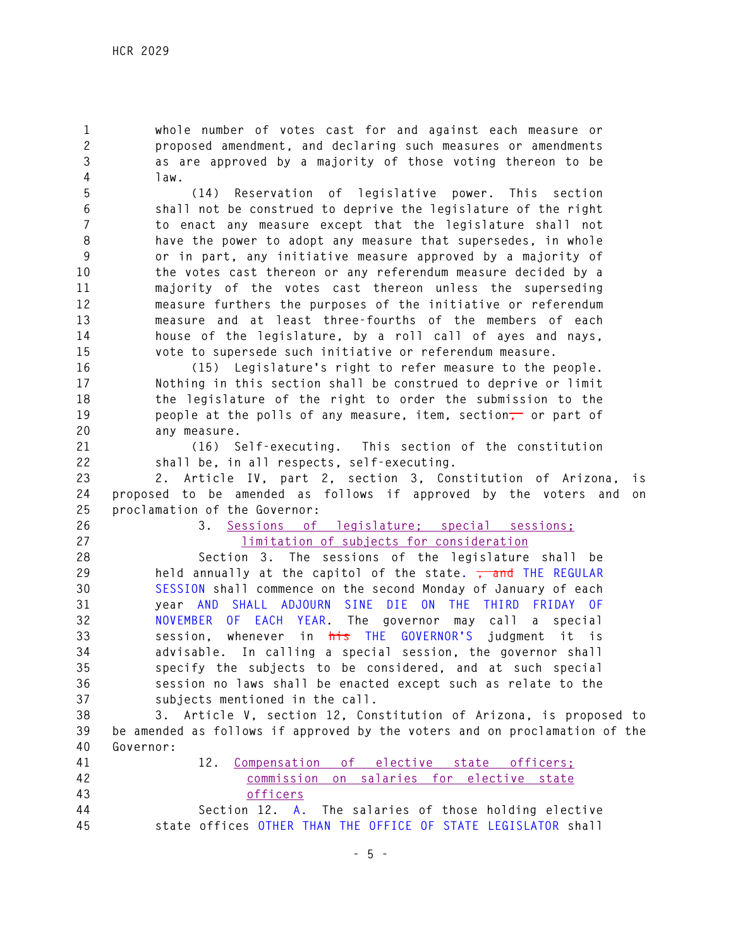**1 whole number of votes cast for and against each measure or 2 proposed amendment, and declaring such measures or amendments 3 as are approved by a majority of those voting thereon to be 4 law.** 

**5 (14) Reservation of legislative power. This section 6 shall not be construed to deprive the legislature of the right 7 to enact any measure except that the legislature shall not 8 have the power to adopt any measure that supersedes, in whole 9 or in part, any initiative measure approved by a majority of 10 the votes cast thereon or any referendum measure decided by a 11 majority of the votes cast thereon unless the superseding 12 measure furthers the purposes of the initiative or referendum 13 measure and at least three-fourths of the members of each 14 house of the legislature, by a roll call of ayes and nays, 15 vote to supersede such initiative or referendum measure.** 

**16 (15) Legislature's right to refer measure to the people. 17 Nothing in this section shall be construed to deprive or limit 18 the legislature of the right to order the submission to the**  19 **people at the polls of any measure, item, section**, or part of **20 any measure.** 

**21 (16) Self-executing. This section of the constitution 22 shall be, in all respects, self-executing.** 

**23 2. Article IV, part 2, section 3, Constitution of Arizona, is 24 proposed to be amended as follows if approved by the voters and on 25 proclamation of the Governor:** 

## **26 3. Sessions of legislature; special sessions; 27 limitation of subjects for consideration**

**28 Section 3. The sessions of the legislature shall be**  29 held annually at the capitol of the state. **, and** THE REGULAR **30 SESSION shall commence on the second Monday of January of each 31 year AND SHALL ADJOURN SINE DIE ON THE THIRD FRIDAY OF 32 NOVEMBER OF EACH YEAR. The governor may call a special 33 session, whenever in his THE GOVERNOR'S judgment it is 34 advisable. In calling a special session, the governor shall 35 specify the subjects to be considered, and at such special 36 session no laws shall be enacted except such as relate to the 37 subjects mentioned in the call.** 

**38 3. Article V, section 12, Constitution of Arizona, is proposed to 39 be amended as follows if approved by the voters and on proclamation of the 40 Governor:** 

**41 12. Compensation of elective state officers; 42 commission on salaries for elective state 43 officers 44 Section 12. A. The salaries of those holding elective 45 state offices OTHER THAN THE OFFICE OF STATE LEGISLATOR shall**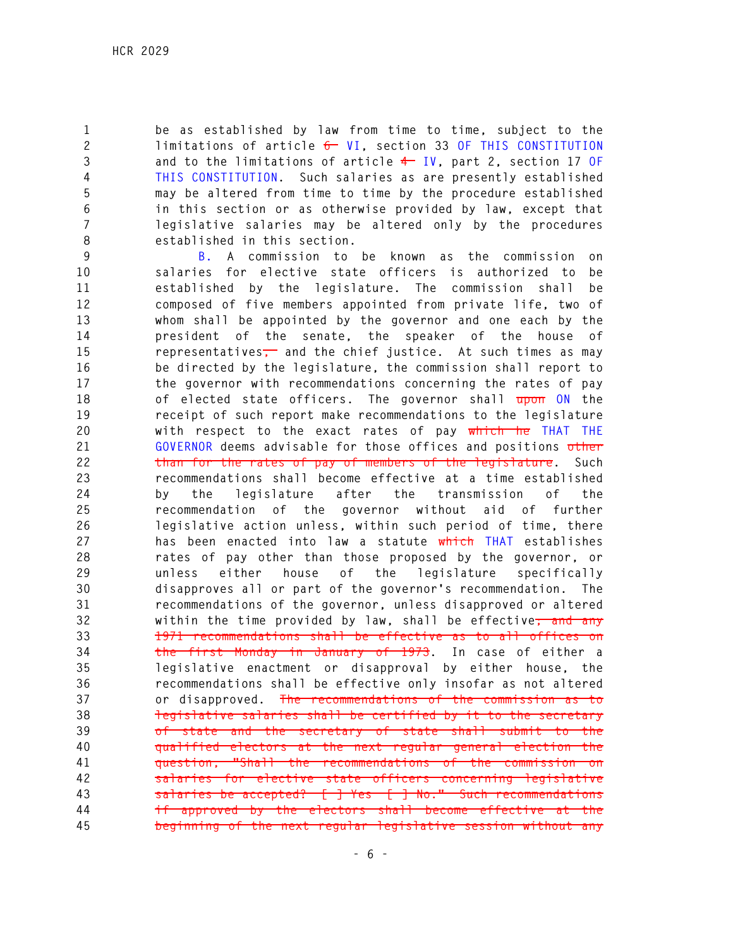**1 be as established by law from time to time, subject to the 2 limitations of article 6 VI, section 33 OF THIS CONSTITUTION 3 and to the limitations of article 4 IV, part 2, section 17 OF 4 THIS CONSTITUTION. Such salaries as are presently established 5 may be altered from time to time by the procedure established 6 in this section or as otherwise provided by law, except that 7 legislative salaries may be altered only by the procedures 8 established in this section.** 

**9 B. A commission to be known as the commission on 10 salaries for elective state officers is authorized to be 11 established by the legislature. The commission shall be 12 composed of five members appointed from private life, two of 13 whom shall be appointed by the governor and one each by the 14 president of the senate, the speaker of the house of 15 representatives, and the chief justice. At such times as may 16 be directed by the legislature, the commission shall report to 17 the governor with recommendations concerning the rates of pay**  18 of elected state officers. The governor shall **upon** ON the **19 receipt of such report make recommendations to the legislature 20 with respect to the exact rates of pay which he THAT THE 21 GOVERNOR deems advisable for those offices and positions other 22 than for the rates of pay of members of the legislature. Such 23 recommendations shall become effective at a time established 24 by the legislature after the transmission of the 25 recommendation of the governor without aid of further 26 legislative action unless, within such period of time, there 27 has been enacted into law a statute which THAT establishes 28 rates of pay other than those proposed by the governor, or 29 unless either house of the legislature specifically 30 disapproves all or part of the governor's recommendation. The 31 recommendations of the governor, unless disapproved or altered 32 within the time provided by law, shall be effective; and any 33 1971 recommendations shall be effective as to all offices on 34 the first Monday in January of 1973. In case of either a 35 legislative enactment or disapproval by either house, the 36 recommendations shall be effective only insofar as not altered 37 or disapproved. The recommendations of the commission as to 38 legislative salaries shall be certified by it to the secretary 39 of state and the secretary of state shall submit to the 40 qualified electors at the next regular general election the 41 question, "Shall the recommendations of the commission on 42 salaries for elective state officers concerning legislative 43 salaries be accepted? [ ] Yes [ ] No." Such recommendations 44 if approved by the electors shall become effective at the 45 beginning of the next regular legislative session without any**